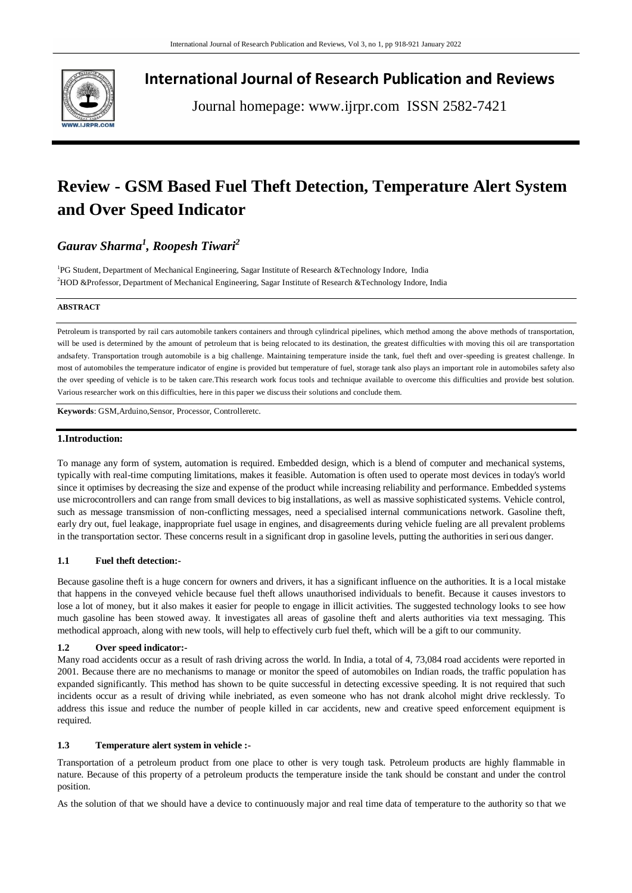

**International Journal of Research Publication and Reviews**

Journal homepage: www.ijrpr.com ISSN 2582-7421

# **Review - GSM Based Fuel Theft Detection, Temperature Alert System and Over Speed Indicator**

## *Gaurav Sharma<sup>1</sup> , Roopesh Tiwari<sup>2</sup>*

<sup>1</sup>PG Student, Department of Mechanical Engineering, Sagar Institute of Research &Technology Indore, India <sup>2</sup>HOD &Professor, Department of Mechanical Engineering, Sagar Institute of Research &Technology Indore, India

#### **ABSTRACT**

Petroleum is transported by rail cars automobile tankers containers and through cylindrical pipelines, which method among the above methods of transportation, will be used is determined by the amount of petroleum that is being relocated to its destination, the greatest difficulties with moving this oil are transportation andsafety. Transportation trough automobile is a big challenge. Maintaining temperature inside the tank, fuel theft and over-speeding is greatest challenge. In most of automobiles the temperature indicator of engine is provided but temperature of fuel, storage tank also plays an important role in automobiles safety also the over speeding of vehicle is to be taken care.This research work focus tools and technique available to overcome this difficulties and provide best solution. Various researcher work on this difficulties, here in this paper we discuss their solutions and conclude them.

**Keywords**: GSM,Arduino,Sensor, Processor, Controlleretc.

#### **1.Introduction:**

To manage any form of system, automation is required. Embedded design, which is a blend of computer and mechanical systems, typically with real-time computing limitations, makes it feasible. Automation is often used to operate most devices in today's world since it optimises by decreasing the size and expense of the product while increasing reliability and performance. Embedded systems use microcontrollers and can range from small devices to big installations, as well as massive sophisticated systems. Vehicle control, such as message transmission of non-conflicting messages, need a specialised internal communications network. Gasoline theft, early dry out, fuel leakage, inappropriate fuel usage in engines, and disagreements during vehicle fueling are all prevalent problems in the transportation sector. These concerns result in a significant drop in gasoline levels, putting the authorities in serious danger.

#### **1.1 Fuel theft detection:-**

Because gasoline theft is a huge concern for owners and drivers, it has a significant influence on the authorities. It is a local mistake that happens in the conveyed vehicle because fuel theft allows unauthorised individuals to benefit. Because it causes investors to lose a lot of money, but it also makes it easier for people to engage in illicit activities. The suggested technology looks to see how much gasoline has been stowed away. It investigates all areas of gasoline theft and alerts authorities via text messaging. This methodical approach, along with new tools, will help to effectively curb fuel theft, which will be a gift to our community.

#### **1.2 Over speed indicator:-**

Many road accidents occur as a result of rash driving across the world. In India, a total of 4, 73,084 road accidents were reported in 2001. Because there are no mechanisms to manage or monitor the speed of automobiles on Indian roads, the traffic population has expanded significantly. This method has shown to be quite successful in detecting excessive speeding. It is not required that such incidents occur as a result of driving while inebriated, as even someone who has not drank alcohol might drive recklessly. To address this issue and reduce the number of people killed in car accidents, new and creative speed enforcement equipment is required.

#### **1.3 Temperature alert system in vehicle :-**

Transportation of a petroleum product from one place to other is very tough task. Petroleum products are highly flammable in nature. Because of this property of a petroleum products the temperature inside the tank should be constant and under the control position.

As the solution of that we should have a device to continuously major and real time data of temperature to the authority so that we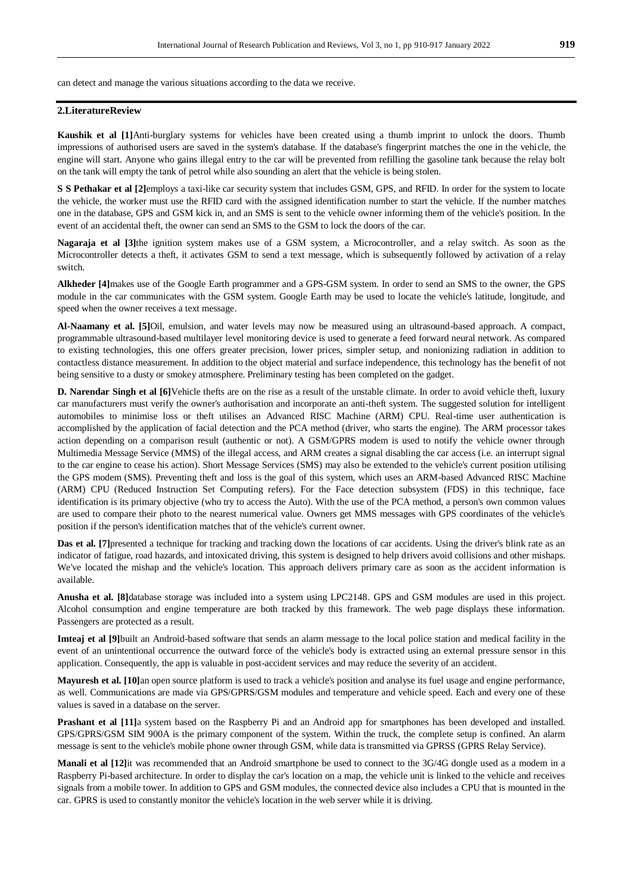can detect and manage the various situations according to the data we receive.

### **2.LiteratureReview**

**Kaushik et al [1]**Anti-burglary systems for vehicles have been created using a thumb imprint to unlock the doors. Thumb impressions of authorised users are saved in the system's database. If the database's fingerprint matches the one in the vehicle, the engine will start. Anyone who gains illegal entry to the car will be prevented from refilling the gasoline tank because the relay bolt on the tank will empty the tank of petrol while also sounding an alert that the vehicle is being stolen.

**S S Pethakar et al [2]**employs a taxi-like car security system that includes GSM, GPS, and RFID. In order for the system to locate the vehicle, the worker must use the RFID card with the assigned identification number to start the vehicle. If the number matches one in the database, GPS and GSM kick in, and an SMS is sent to the vehicle owner informing them of the vehicle's position. In the event of an accidental theft, the owner can send an SMS to the GSM to lock the doors of the car.

**Nagaraja et al [3]**the ignition system makes use of a GSM system, a Microcontroller, and a relay switch. As soon as the Microcontroller detects a theft, it activates GSM to send a text message, which is subsequently followed by activation of a relay switch.

**Alkheder [4]**makes use of the Google Earth programmer and a GPS-GSM system. In order to send an SMS to the owner, the GPS module in the car communicates with the GSM system. Google Earth may be used to locate the vehicle's latitude, longitude, and speed when the owner receives a text message.

**Al-Naamany et al. [5]**Oil, emulsion, and water levels may now be measured using an ultrasound-based approach. A compact, programmable ultrasound-based multilayer level monitoring device is used to generate a feed forward neural network. As compared to existing technologies, this one offers greater precision, lower prices, simpler setup, and nonionizing radiation in addition to contactless distance measurement. In addition to the object material and surface independence, this technology has the benefit of not being sensitive to a dusty or smokey atmosphere. Preliminary testing has been completed on the gadget.

**D. Narendar Singh et al [6]**Vehicle thefts are on the rise as a result of the unstable climate. In order to avoid vehicle theft, luxury car manufacturers must verify the owner's authorisation and incorporate an anti-theft system. The suggested solution for intelligent automobiles to minimise loss or theft utilises an Advanced RISC Machine (ARM) CPU. Real-time user authentication is accomplished by the application of facial detection and the PCA method (driver, who starts the engine). The ARM processor takes action depending on a comparison result (authentic or not). A GSM/GPRS modem is used to notify the vehicle owner through Multimedia Message Service (MMS) of the illegal access, and ARM creates a signal disabling the car access (i.e. an interrupt signal to the car engine to cease his action). Short Message Services (SMS) may also be extended to the vehicle's current position utilising the GPS modem (SMS). Preventing theft and loss is the goal of this system, which uses an ARM-based Advanced RISC Machine (ARM) CPU (Reduced Instruction Set Computing refers). For the Face detection subsystem (FDS) in this technique, face identification is its primary objective (who try to access the Auto). With the use of the PCA method, a person's own common values are used to compare their photo to the nearest numerical value. Owners get MMS messages with GPS coordinates of the vehicle's position if the person's identification matches that of the vehicle's current owner.

**Das et al.** [7] presented a technique for tracking and tracking down the locations of car accidents. Using the driver's blink rate as an indicator of fatigue, road hazards, and intoxicated driving, this system is designed to help drivers avoid collisions and other mishaps. We've located the mishap and the vehicle's location. This approach delivers primary care as soon as the accident information is available.

**Anusha et al. [8]**database storage was included into a system using LPC2148. GPS and GSM modules are used in this project. Alcohol consumption and engine temperature are both tracked by this framework. The web page displays these information. Passengers are protected as a result.

**Imteaj et al [9]**built an Android-based software that sends an alarm message to the local police station and medical facility in the event of an unintentional occurrence the outward force of the vehicle's body is extracted using an external pressure sensor in this application. Consequently, the app is valuable in post-accident services and may reduce the severity of an accident.

**Mayuresh et al. [10]**an open source platform is used to track a vehicle's position and analyse its fuel usage and engine performance, as well. Communications are made via GPS/GPRS/GSM modules and temperature and vehicle speed. Each and every one of these values is saved in a database on the server.

**Prashant et al [11]**a system based on the Raspberry Pi and an Android app for smartphones has been developed and installed. GPS/GPRS/GSM SIM 900A is the primary component of the system. Within the truck, the complete setup is confined. An alarm message is sent to the vehicle's mobile phone owner through GSM, while data is transmitted via GPRSS (GPRS Relay Service).

**Manali et al [12]**it was recommended that an Android smartphone be used to connect to the 3G/4G dongle used as a modem in a Raspberry Pi-based architecture. In order to display the car's location on a map, the vehicle unit is linked to the vehicle and receives signals from a mobile tower. In addition to GPS and GSM modules, the connected device also includes a CPU that is mounted in the car. GPRS is used to constantly monitor the vehicle's location in the web server while it is driving.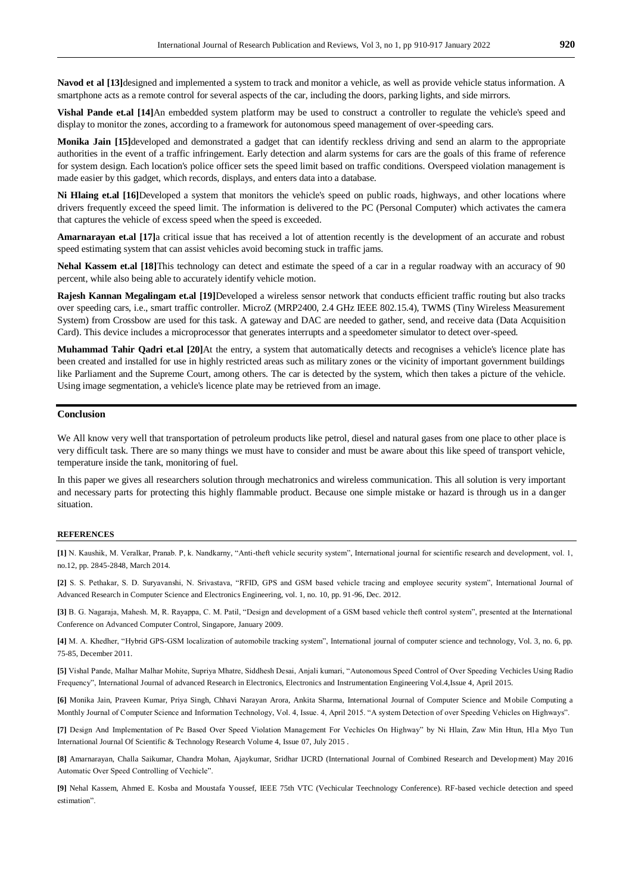**Navod et al [13]**designed and implemented a system to track and monitor a vehicle, as well as provide vehicle status information. A smartphone acts as a remote control for several aspects of the car, including the doors, parking lights, and side mirrors.

**Vishal Pande et.al [14]**An embedded system platform may be used to construct a controller to regulate the vehicle's speed and display to monitor the zones, according to a framework for autonomous speed management of over-speeding cars.

**Monika Jain [15]**developed and demonstrated a gadget that can identify reckless driving and send an alarm to the appropriate authorities in the event of a traffic infringement. Early detection and alarm systems for cars are the goals of this frame of reference for system design. Each location's police officer sets the speed limit based on traffic conditions. Overspeed violation management is made easier by this gadget, which records, displays, and enters data into a database.

**Ni Hlaing et.al [16]**Developed a system that monitors the vehicle's speed on public roads, highways, and other locations where drivers frequently exceed the speed limit. The information is delivered to the PC (Personal Computer) which activates the camera that captures the vehicle of excess speed when the speed is exceeded.

**Amarnarayan et.al [17]** a critical issue that has received a lot of attention recently is the development of an accurate and robust speed estimating system that can assist vehicles avoid becoming stuck in traffic jams.

**Nehal Kassem et.al [18]**This technology can detect and estimate the speed of a car in a regular roadway with an accuracy of 90 percent, while also being able to accurately identify vehicle motion.

**Rajesh Kannan Megalingam et.al [19]**Developed a wireless sensor network that conducts efficient traffic routing but also tracks over speeding cars, i.e., smart traffic controller. MicroZ (MRP2400, 2.4 GHz IEEE 802.15.4), TWMS (Tiny Wireless Measurement System) from Crossbow are used for this task. A gateway and DAC are needed to gather, send, and receive data (Data Acquisition Card). This device includes a microprocessor that generates interrupts and a speedometer simulator to detect over-speed.

**Muhammad Tahir Qadri et.al [20]**At the entry, a system that automatically detects and recognises a vehicle's licence plate has been created and installed for use in highly restricted areas such as military zones or the vicinity of important government buildings like Parliament and the Supreme Court, among others. The car is detected by the system, which then takes a picture of the vehicle. Using image segmentation, a vehicle's licence plate may be retrieved from an image.

#### **Conclusion**

We All know very well that transportation of petroleum products like petrol, diesel and natural gases from one place to other place is very difficult task. There are so many things we must have to consider and must be aware about this like speed of transport vehicle, temperature inside the tank, monitoring of fuel.

In this paper we gives all researchers solution through mechatronics and wireless communication. This all solution is very important and necessary parts for protecting this highly flammable product. Because one simple mistake or hazard is through us in a danger situation.

#### **REFERENCES**

**[1]** N. Kaushik, M. Veralkar, Pranab. P, k. Nandkarny, "Anti-theft vehicle security system", International journal for scientific research and development, vol. 1, no.12, pp. 2845-2848, March 2014.

**[2]** S. S. Pethakar, S. D. Suryavanshi, N. Srivastava, "RFID, GPS and GSM based vehicle tracing and employee security system", International Journal of Advanced Research in Computer Science and Electronics Engineering, vol. 1, no. 10, pp. 91-96, Dec. 2012.

**[3]** B. G. Nagaraja, Mahesh. M, R. Rayappa, C. M. Patil, "Design and development of a GSM based vehicle theft control system", presented at the International Conference on Advanced Computer Control, Singapore, January 2009.

**[4]** M. A. Khedher, "Hybrid GPS-GSM localization of automobile tracking system", International journal of computer science and technology, Vol. 3, no. 6, pp. 75-85, December 2011.

**[5]** Vishal Pande, Malhar Malhar Mohite, Supriya Mhatre, Siddhesh Desai, Anjali kumari, "Autonomous Speed Control of Over Speeding Vechicles Using Radio Frequency", International Journal of advanced Research in Electronics, Electronics and Instrumentation Engineering Vol.4,Issue 4, April 2015.

**[6]** Monika Jain, Praveen Kumar, Priya Singh, Chhavi Narayan Arora, Ankita Sharma, International Journal of Computer Science and Mobile Computing a Monthly Journal of Computer Science and Information Technology, Vol. 4, Issue. 4, April 2015. "A system Detection of over Speeding Vehicles on Highways".

[7] Design And Implementation of Pc Based Over Speed Violation Management For Vechicles On Highway" by Ni Hlain, Zaw Min Htun, Hla Myo Tun International Journal Of Scientific & Technology Research Volume 4, Issue 07, July 2015 .

**[8]** Amarnarayan, Challa Saikumar, Chandra Mohan, Ajaykumar, Sridhar IJCRD (International Journal of Combined Research and Development) May 2016 Automatic Over Speed Controlling of Vechicle".

**[9]** Nehal Kassem, Ahmed E. Kosba and Moustafa Youssef, IEEE 75th VTC (Vechicular Teechnology Conference). RF-based vechicle detection and speed estimation".